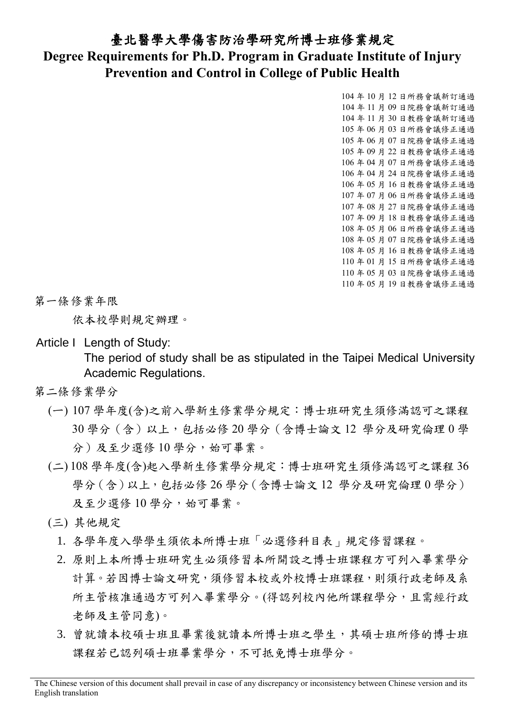## 臺北醫學大學傷害防治學研究所博士班修業規定 **Degree Requirements for Ph.D. Program in Graduate Institute of Injury Prevention and Control in College of Public Health**

 年 10 月 12 日所務會議新訂通過 年 11 月 09 日院務會議新訂通過 年 11 月 30 日教務會議新訂通過 年 06 月 03 日所務會議修正通過 年 06 月 07 日院務會議修正通過 年 09 月 22 日教務會議修正通過 年 04 月 07 日所務會議修正通過 年 04 月 24 日院務會議修正通過 年 05 月 16 日教務會議修正通過 年 07 月 06 日所務會議修正通過 年 08 月 27 日院務會議修正通過 年 09 月 18 日教務會議修正通過 年 05 月 06 日所務會議修正通過 年 05 月 07 日院務會議修正通過 年 05 月 16 日教務會議修正通過 年 01 月 15 日所務會議修正通過 年 05 月 03 日院務會議修正通過 年 05 月 19 日教務會議修正通過

第一條修業年限

依本校學則規定辦理。

Article I Length of Study:

The period of study shall be as stipulated in the Taipei Medical University Academic Regulations.

- 第二條修業學分
	- (ㄧ) 107 學年度(含)之前入學新生修業學分規定:博士班研究生須修滿認可之課程 30 學分(含)以上,包括必修 20 學分(含博士論文 12 學分及研究倫理 0 學 分)及至少選修 10 學分,始可畢業。
	- (二) 108 學年度(含)起入學新生修業學分規定:博士班研究生須修滿認可之課程 36 學分(含)以上,包括必修26學分(含博士論文12學分及研究倫理0學分) 及至少選修 10 學分,始可畢業。
	- (三) 其他規定
		- 1. 各學年度入學學生須依本所博士班「必選修科目表」規定修習課程。
		- 2. 原則上本所博士班研究生必須修習本所開設之博士班課程方可列入畢業學分 計算。若因博士論文研究,須修習本校或外校博士班課程,則須行政老師及系 所主管核准通過方可列入畢業學分。(得認列校內他所課程學分,且需經行政 老師及主管同意)。
		- 3. 曾就讀本校碩士班且畢業後就讀本所博士班之學生,其碩士班所修的博士班 課程若已認列碩士班畢業學分,不可抵免博士班學分。

The Chinese version of this document shall prevail in case of any discrepancy or inconsistency between Chinese version and its English translation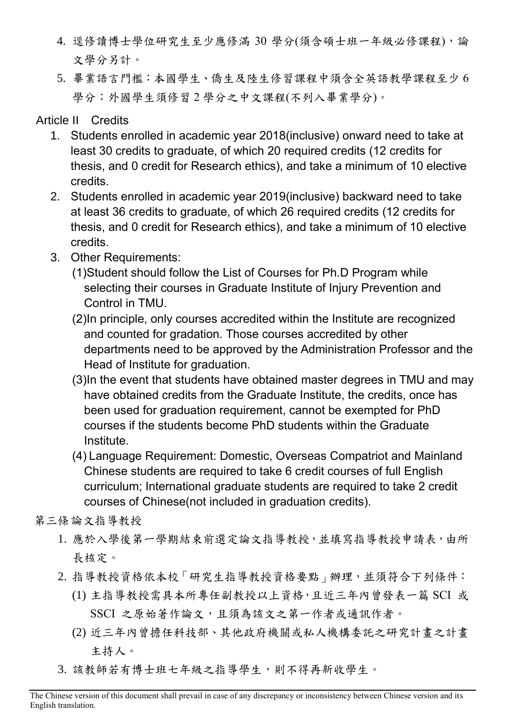- 4. 逕修讀博士學位研究生至少應修滿 30 學分(須含碩士班一年級必修課程), 論 文學分另計。
- 5. 畢業語言門檻:本國學生、僑生及陸生修習課程中須含全英語教學課程至少 6 學分;外國學生須修習2學分之中文課程(不列入畢業學分)。

## Article II Credits

- 1. Students enrolled in academic year 2018(inclusive) onward need to take at least 30 credits to graduate, of which 20 required credits (12 credits for thesis, and 0 credit for Research ethics), and take a minimum of 10 elective credits.
- 2. Students enrolled in academic year 2019(inclusive) backward need to take at least 36 credits to graduate, of which 26 required credits (12 credits for thesis, and 0 credit for Research ethics), and take a minimum of 10 elective credits.
- 3. Other Requirements:
	- (1)Student should follow the List of Courses for Ph.D Program while selecting their courses in Graduate Institute of Injury Prevention and Control in TMU.
	- (2)In principle, only courses accredited within the Institute are recognized and counted for gradation. Those courses accredited by other departments need to be approved by the Administration Professor and the Head of Institute for graduation.
	- (3)In the event that students have obtained master degrees in TMU and may have obtained credits from the Graduate Institute, the credits, once has been used for graduation requirement, cannot be exempted for PhD courses if the students become PhD students within the Graduate Institute.
	- (4) Language Requirement: Domestic, Overseas Compatriot and Mainland Chinese students are required to take 6 credit courses of full English curriculum; International graduate students are required to take 2 credit courses of Chinese(not included in graduation credits).

## 第三條論文指導教授

- 1. 應於入學後第一學期結束前選定論文指導教授,並填寫指導教授申請表,由所 長核定。
- 2. 指導教授資格依本校「研究生指導教授資格要點」辦理,並須符合下列條件:
	- (1) 主指導教授需具本所專任副教授以上資格,且近三年內曾發表一篇 SCI 或 SSCI 之原始著作論文,且須為該文之第一作者或通訊作者。
	- (2) 近三年內曾擔任科技部、其他政府機關或私人機構委託之研究計畫之計畫 主持人。
- 3. 該教師若有博士班七年級之指導學生,則不得再新收學生。

The Chinese version of this document shall prevail in case of any discrepancy or inconsistency between Chinese version and its English translation.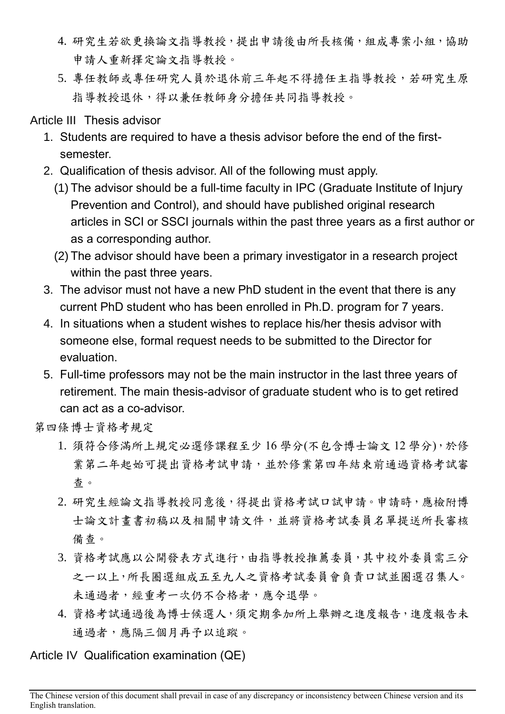- 4. 研究生若欲更換論文指導教授,提出申請後由所長核備,組成專案小組,協助 申請人重新擇定論文指導教授。
- 5. 專任教師或專任研究人員於退休前三年起不得擔任主指導教授,若研究生原 指導教授退休,得以兼任教師身分擔任共同指導教授。

Article III Thesis advisor

- 1. Students are required to have a thesis advisor before the end of the firstsemester.
- 2. Qualification of thesis advisor. All of the following must apply.
	- (1) The advisor should be a full-time faculty in IPC (Graduate Institute of Injury Prevention and Control), and should have published original research articles in SCI or SSCI journals within the past three years as a first author or as a corresponding author.
	- (2) The advisor should have been a primary investigator in a research project within the past three years.
- 3. The advisor must not have a new PhD student in the event that there is any current PhD student who has been enrolled in Ph.D. program for 7 years.
- 4. In situations when a student wishes to replace his/her thesis advisor with someone else, formal request needs to be submitted to the Director for evaluation.
- 5. Full-time professors may not be the main instructor in the last three years of retirement. The main thesis-advisor of graduate student who is to get retired can act as a co-advisor.

第四條博士資格考規定

- 1. 須符合修滿所上規定必選修課程至少 16 學分(不包含博士論文 12 學分),於修 業第二年起始可提出資格考試申請,並於修業第四年結束前通過資格考試審 查。
- 2. 研究生經論文指導教授同意後,得提出資格考試口試申請。申請時,應檢附博 士論文計畫書初稿以及相關申請文件,並將資格考試委員名單提送所長審核 備查。
- 3. 資格考試應以公開發表方式進行,由指導教授推薦委員,其中校外委員需三分 之一以上,所長圈選組成五至九人之資格考試委員會負責口試並圈選召集人。 未通過者,經重考一次仍不合格者,應令退學。
- 4. 資格考試通過後為博士候選人,須定期參加所上舉辦之進度報告,進度報告未 通過者,應隔三個月再予以追蹤。

Article IV Qualification examination (QE)

The Chinese version of this document shall prevail in case of any discrepancy or inconsistency between Chinese version and its English translation.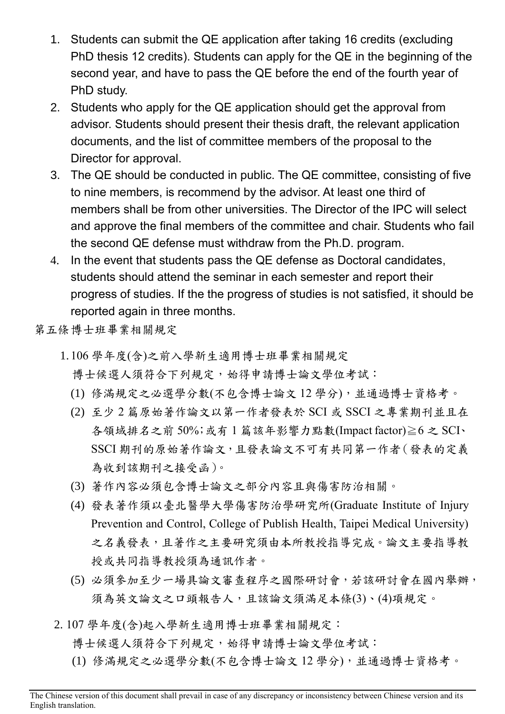- 1. Students can submit the QE application after taking 16 credits (excluding PhD thesis 12 credits). Students can apply for the QE in the beginning of the second year, and have to pass the QE before the end of the fourth year of PhD study.
- 2. Students who apply for the QE application should get the approval from advisor. Students should present their thesis draft, the relevant application documents, and the list of committee members of the proposal to the Director for approval.
- 3. The QE should be conducted in public. The QE committee, consisting of five to nine members, is recommend by the advisor. At least one third of members shall be from other universities. The Director of the IPC will select and approve the final members of the committee and chair. Students who fail the second QE defense must withdraw from the Ph.D. program.
- 4. In the event that students pass the QE defense as Doctoral candidates, students should attend the seminar in each semester and report their progress of studies. If the the progress of studies is not satisfied, it should be reported again in three months.

第五條博士班畢業相關規定

- 1. 106 學年度(含)之前入學新生適用博士班畢業相關規定 博士候選人須符合下列規定,始得申請博士論文學位考試:
	- (1) 修滿規定之必選學分數(不包含博士論文 12 學分),並通過博士資格考。
	- (2) 至少 2 篇原始著作論文以第一作者發表於 SCI 或 SSCI 之專業期刊並且在 各領域排名之前 50%;或有 1 篇該年影響力點數(Impact factor)≧6 之 SCI、 SSCI 期刊的原始著作論文,且發表論文不可有共同第一作者(發表的定義 為收到該期刊之接受函)。
	- (3) 著作內容必須包含博士論文之部分內容且與傷害防治相關。
	- (4) 發表著作須以臺北醫學大學傷害防治學研究所(Graduate Institute of Injury Prevention and Control, College of Publish Health, Taipei Medical University) 之名義發表,且著作之主要研究須由本所教授指導完成。論文主要指導教 授或共同指導教授須為通訊作者。
	- (5) 必須參加至少一場具論文審查程序之國際研討會,若該研討會在國內舉辦, 須為英文論文之口頭報告人,且該論文須滿足本條(3)、(4)項規定。
- 2. 107 學年度(含)起入學新生適用博士班畢業相關規定: 博士候選人須符合下列規定,始得申請博士論文學位考試:
	- (1) 修滿規定之必選學分數(不包含博士論文 12 學分),並通過博士資格考。

The Chinese version of this document shall prevail in case of any discrepancy or inconsistency between Chinese version and its English translation.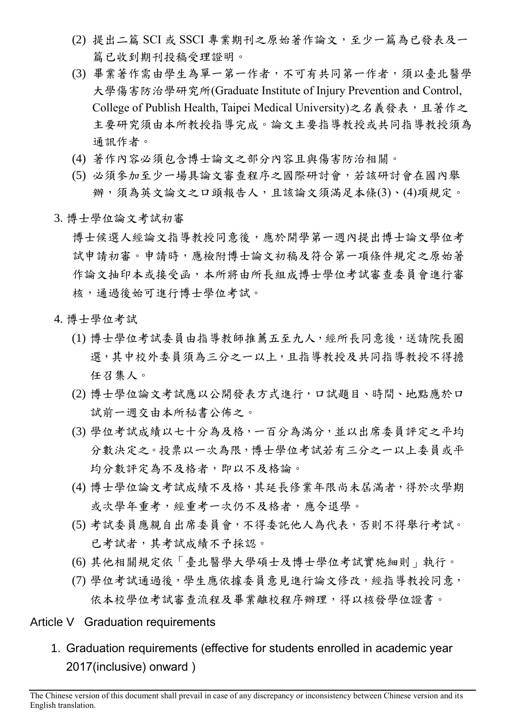- (2) 提出二篇 SCI 或 SSCI 專業期刊之原始著作論文,至少一篇為已發表及一 篇已收到期刊投稿受理證明。
- (3) 畢業著作需由學生為單一第一作者,不可有共同第一作者,須以臺北醫學 大學傷害防治學研究所(Graduate Institute of Injury Prevention and Control, College of Publish Health, Taipei Medical University)之名義發表,且著作之 主要研究須由本所教授指導完成。論文主要指導教授或共同指導教授須為 通訊作者。
- (4) 著作內容必須包含博士論文之部分內容且與傷害防治相關。
- (5) 必須參加至少一場具論文審查程序之國際研討會,若該研討會在國內舉 辦,須為英文論文之口頭報告人,且該論文須滿足本條(3)、(4)項規定。
- 3. 博士學位論文考試初審

博士候選人經論文指導教授同意後,應於開學第一週內提出博士論文學位考 試申請初審。申請時,應檢附博士論文初稿及符合第一項條件規定之原始著 作論文抽印本或接受函,本所將由所長組成博士學位考試審查委員會進行審 核,通過後始可進行博士學位考試。

- 4. 博士學位考試
	- (1) 博士學位考試委員由指導教師推薦五至九人,經所長同意後,送請院長圈 選,其中校外委員須為三分之一以上,且指導教授及共同指導教授不得擔 任召集人。
	- (2) 博士學位論文考試應以公開發表方式進行,口試題目、時間、地點應於口 試前一週交由本所秘書公佈之。
	- (3) 學位考試成績以七十分為及格,一百分為滿分,並以出席委員評定之平均 分數決定之。投票以一次為限,博士學位考試若有三分之一以上委員或平 均分數評定為不及格者,即以不及格論。
	- (4) 博士學位論文考試成績不及格,其延長修業年限尚未屆滿者,得於次學期 或次學年重考,經重考一次仍不及格者,應令退學。
	- (5) 考試委員應親自出席委員會,不得委託他人為代表,否則不得舉行考試。 已考試者,其考試成績不予採認。
	- (6) 其他相關規定依「臺北醫學大學碩士及博士學位考試實施細則」執行。
	- (7) 學位考試通過後,學生應依據委員意見進行論文修改,經指導教授同意, 依本校學位考試審查流程及畢業離校程序辦理,得以核發學位證書。

Article V Graduation requirements

1. Graduation requirements (effective for students enrolled in academic year 2017(inclusive) onward )

The Chinese version of this document shall prevail in case of any discrepancy or inconsistency between Chinese version and its English translation.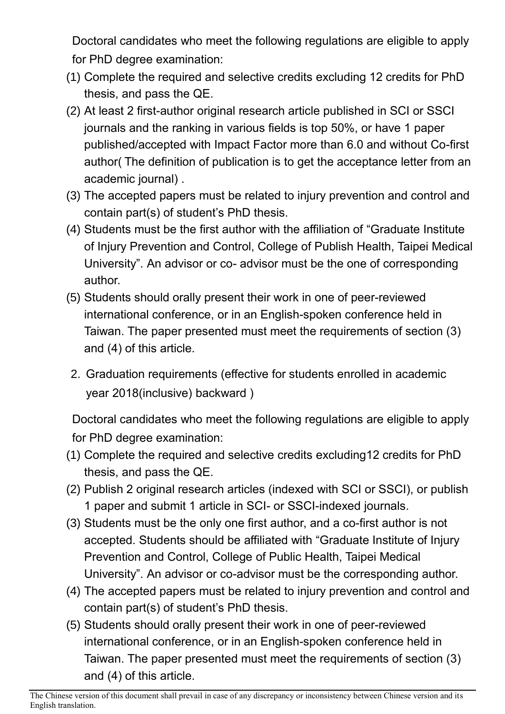Doctoral candidates who meet the following regulations are eligible to apply for PhD degree examination:

- (1) Complete the required and selective credits excluding 12 credits for PhD thesis, and pass the QE.
- (2) At least 2 first-author original research article published in SCI or SSCI journals and the ranking in various fields is top 50%, or have 1 paper published/accepted with Impact Factor more than 6.0 and without Co-first author( The definition of publication is to get the acceptance letter from an academic journal) .
- (3) The accepted papers must be related to injury prevention and control and contain part(s) of student's PhD thesis.
- (4) Students must be the first author with the affiliation of "Graduate Institute of Injury Prevention and Control, College of Publish Health, Taipei Medical University". An advisor or co- advisor must be the one of corresponding author.
- (5) Students should orally present their work in one of peer-reviewed international conference, or in an English-spoken conference held in Taiwan. The paper presented must meet the requirements of section (3) and (4) of this article.
- 2. Graduation requirements (effective for students enrolled in academic year 2018(inclusive) backward )

Doctoral candidates who meet the following regulations are eligible to apply for PhD degree examination:

- (1) Complete the required and selective credits excluding12 credits for PhD thesis, and pass the QE.
- (2) Publish 2 original research articles (indexed with SCI or SSCI), or publish 1 paper and submit 1 article in SCI- or SSCI-indexed journals.
- (3) Students must be the only one first author, and a co-first author is not accepted. Students should be affiliated with "Graduate Institute of Injury Prevention and Control, College of Public Health, Taipei Medical University". An advisor or co-advisor must be the corresponding author.
- (4) The accepted papers must be related to injury prevention and control and contain part(s) of student's PhD thesis.
- (5) Students should orally present their work in one of peer-reviewed international conference, or in an English-spoken conference held in Taiwan. The paper presented must meet the requirements of section (3) and (4) of this article.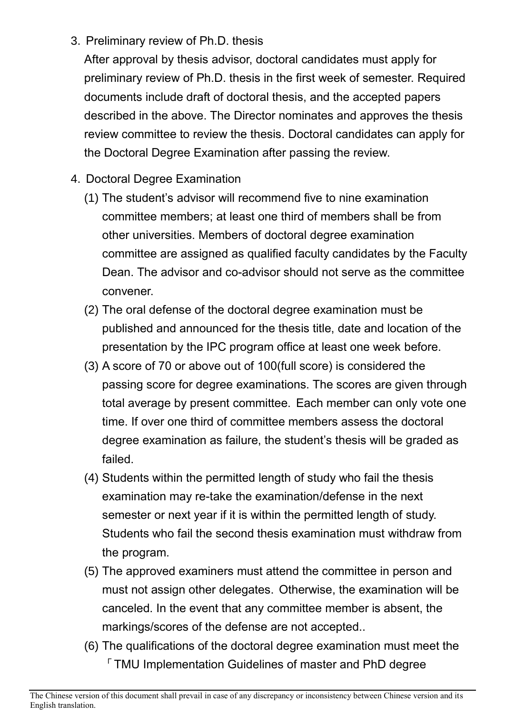3. Preliminary review of Ph.D. thesis

After approval by thesis advisor, doctoral candidates must apply for preliminary review of Ph.D. thesis in the first week of semester. Required documents include draft of doctoral thesis, and the accepted papers described in the above. The Director nominates and approves the thesis review committee to review the thesis. Doctoral candidates can apply for the Doctoral Degree Examination after passing the review.

- 4. Doctoral Degree Examination
	- (1) The student's advisor will recommend five to nine examination committee members; at least one third of members shall be from other universities. Members of doctoral degree examination committee are assigned as qualified faculty candidates by the Faculty Dean. The advisor and co-advisor should not serve as the committee convener.
	- (2) The oral defense of the doctoral degree examination must be published and announced for the thesis title, date and location of the presentation by the IPC program office at least one week before.
	- (3) A score of 70 or above out of 100(full score) is considered the passing score for degree examinations. The scores are given through total average by present committee. Each member can only vote one time. If over one third of committee members assess the doctoral degree examination as failure, the student's thesis will be graded as failed.
	- (4) Students within the permitted length of study who fail the thesis examination may re-take the examination/defense in the next semester or next year if it is within the permitted length of study. Students who fail the second thesis examination must withdraw from the program.
	- (5) The approved examiners must attend the committee in person and must not assign other delegates. Otherwise, the examination will be canceled. In the event that any committee member is absent, the markings/scores of the defense are not accepted..
	- (6) The qualifications of the doctoral degree examination must meet the 「TMU Implementation Guidelines of master and PhD degree

The Chinese version of this document shall prevail in case of any discrepancy or inconsistency between Chinese version and its English translation.